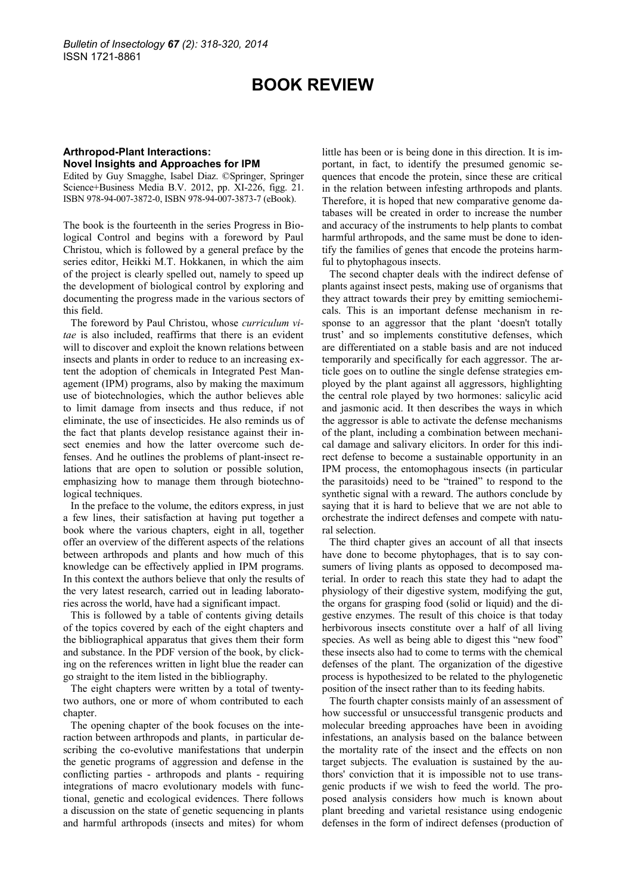## **BOOK REVIEW**

## **Arthropod-Plant Interactions: Novel Insights and Approaches for IPM**

Edited by Guy Smagghe, Isabel Diaz. ©Springer, Springer Science+Business Media B.V. 2012, pp. XI-226, figg. 21. ISBN 978-94-007-3872-0, ISBN 978-94-007-3873-7 (eBook).

The book is the fourteenth in the series Progress in Biological Control and begins with a foreword by Paul Christou, which is followed by a general preface by the series editor, Heikki M.T. Hokkanen, in which the aim of the project is clearly spelled out, namely to speed up the development of biological control by exploring and documenting the progress made in the various sectors of this field.

The foreword by Paul Christou, whose *curriculum vitae* is also included, reaffirms that there is an evident will to discover and exploit the known relations between insects and plants in order to reduce to an increasing extent the adoption of chemicals in Integrated Pest Management (IPM) programs, also by making the maximum use of biotechnologies, which the author believes able to limit damage from insects and thus reduce, if not eliminate, the use of insecticides. He also reminds us of the fact that plants develop resistance against their insect enemies and how the latter overcome such defenses. And he outlines the problems of plant-insect relations that are open to solution or possible solution, emphasizing how to manage them through biotechnological techniques.

In the preface to the volume, the editors express, in just a few lines, their satisfaction at having put together a book where the various chapters, eight in all, together offer an overview of the different aspects of the relations between arthropods and plants and how much of this knowledge can be effectively applied in IPM programs. In this context the authors believe that only the results of the very latest research, carried out in leading laboratories across the world, have had a significant impact.

This is followed by a table of contents giving details of the topics covered by each of the eight chapters and the bibliographical apparatus that gives them their form and substance. In the PDF version of the book, by clicking on the references written in light blue the reader can go straight to the item listed in the bibliography.

The eight chapters were written by a total of twentytwo authors, one or more of whom contributed to each chapter.

The opening chapter of the book focuses on the interaction between arthropods and plants, in particular describing the co-evolutive manifestations that underpin the genetic programs of aggression and defense in the conflicting parties - arthropods and plants - requiring integrations of macro evolutionary models with functional, genetic and ecological evidences. There follows a discussion on the state of genetic sequencing in plants and harmful arthropods (insects and mites) for whom

little has been or is being done in this direction. It is important, in fact, to identify the presumed genomic sequences that encode the protein, since these are critical in the relation between infesting arthropods and plants. Therefore, it is hoped that new comparative genome databases will be created in order to increase the number and accuracy of the instruments to help plants to combat harmful arthropods, and the same must be done to identify the families of genes that encode the proteins harmful to phytophagous insects.

The second chapter deals with the indirect defense of plants against insect pests, making use of organisms that they attract towards their prey by emitting semiochemicals. This is an important defense mechanism in response to an aggressor that the plant "doesn't totally trust" and so implements constitutive defenses, which are differentiated on a stable basis and are not induced temporarily and specifically for each aggressor. The article goes on to outline the single defense strategies employed by the plant against all aggressors, highlighting the central role played by two hormones: salicylic acid and jasmonic acid. It then describes the ways in which the aggressor is able to activate the defense mechanisms of the plant, including a combination between mechanical damage and salivary elicitors. In order for this indirect defense to become a sustainable opportunity in an IPM process, the entomophagous insects (in particular the parasitoids) need to be "trained" to respond to the synthetic signal with a reward. The authors conclude by saying that it is hard to believe that we are not able to orchestrate the indirect defenses and compete with natural selection.

The third chapter gives an account of all that insects have done to become phytophages, that is to say consumers of living plants as opposed to decomposed material. In order to reach this state they had to adapt the physiology of their digestive system, modifying the gut, the organs for grasping food (solid or liquid) and the digestive enzymes. The result of this choice is that today herbivorous insects constitute over a half of all living species. As well as being able to digest this "new food" these insects also had to come to terms with the chemical defenses of the plant. The organization of the digestive process is hypothesized to be related to the phylogenetic position of the insect rather than to its feeding habits.

The fourth chapter consists mainly of an assessment of how successful or unsuccessful transgenic products and molecular breeding approaches have been in avoiding infestations, an analysis based on the balance between the mortality rate of the insect and the effects on non target subjects. The evaluation is sustained by the authors' conviction that it is impossible not to use transgenic products if we wish to feed the world. The proposed analysis considers how much is known about plant breeding and varietal resistance using endogenic defenses in the form of indirect defenses (production of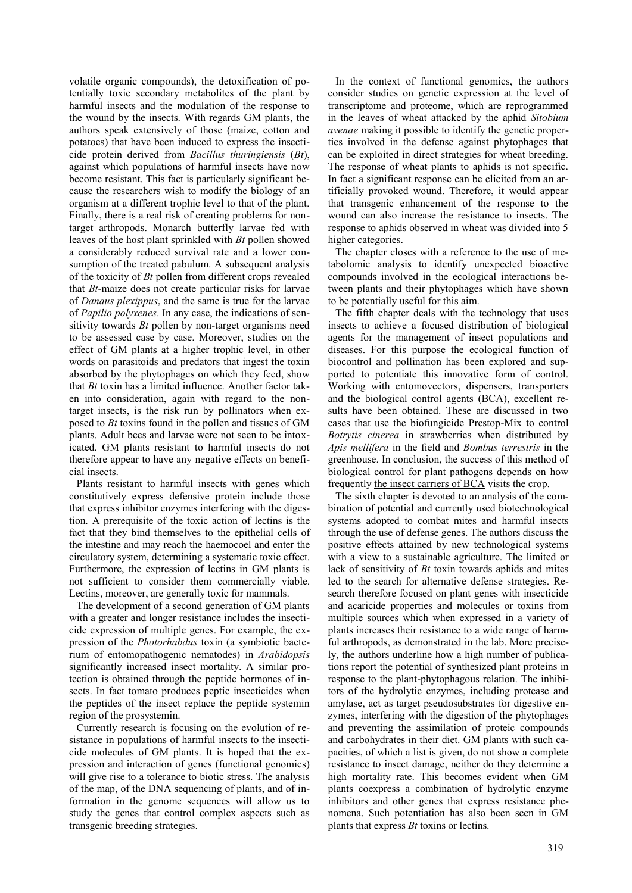volatile organic compounds), the detoxification of potentially toxic secondary metabolites of the plant by harmful insects and the modulation of the response to the wound by the insects. With regards GM plants, the authors speak extensively of those (maize, cotton and potatoes) that have been induced to express the insecticide protein derived from *Bacillus thuringiensis* (*Bt*), against which populations of harmful insects have now become resistant. This fact is particularly significant because the researchers wish to modify the biology of an organism at a different trophic level to that of the plant. Finally, there is a real risk of creating problems for nontarget arthropods. Monarch butterfly larvae fed with leaves of the host plant sprinkled with *Bt* pollen showed a considerably reduced survival rate and a lower consumption of the treated pabulum. A subsequent analysis of the toxicity of *Bt* pollen from different crops revealed that *Bt*-maize does not create particular risks for larvae of *Danaus plexippus*, and the same is true for the larvae of *Papilio polyxenes*. In any case, the indications of sensitivity towards *Bt* pollen by non-target organisms need to be assessed case by case. Moreover, studies on the effect of GM plants at a higher trophic level, in other words on parasitoids and predators that ingest the toxin absorbed by the phytophages on which they feed, show that *Bt* toxin has a limited influence. Another factor taken into consideration, again with regard to the nontarget insects, is the risk run by pollinators when exposed to *Bt* toxins found in the pollen and tissues of GM plants. Adult bees and larvae were not seen to be intoxicated. GM plants resistant to harmful insects do not therefore appear to have any negative effects on beneficial insects.

Plants resistant to harmful insects with genes which constitutively express defensive protein include those that express inhibitor enzymes interfering with the digestion. A prerequisite of the toxic action of lectins is the fact that they bind themselves to the epithelial cells of the intestine and may reach the haemocoel and enter the circulatory system, determining a systematic toxic effect. Furthermore, the expression of lectins in GM plants is not sufficient to consider them commercially viable. Lectins, moreover, are generally toxic for mammals.

The development of a second generation of GM plants with a greater and longer resistance includes the insecticide expression of multiple genes. For example, the expression of the *Photorhabdus* toxin (a symbiotic bacterium of entomopathogenic nematodes) in *Arabidopsis* significantly increased insect mortality. A similar protection is obtained through the peptide hormones of insects. In fact tomato produces peptic insecticides when the peptides of the insect replace the peptide systemin region of the prosystemin.

Currently research is focusing on the evolution of resistance in populations of harmful insects to the insecticide molecules of GM plants. It is hoped that the expression and interaction of genes (functional genomics) will give rise to a tolerance to biotic stress. The analysis of the map, of the DNA sequencing of plants, and of information in the genome sequences will allow us to study the genes that control complex aspects such as transgenic breeding strategies.

In the context of functional genomics, the authors consider studies on genetic expression at the level of transcriptome and proteome, which are reprogrammed in the leaves of wheat attacked by the aphid *Sitobium avenae* making it possible to identify the genetic properties involved in the defense against phytophages that can be exploited in direct strategies for wheat breeding. The response of wheat plants to aphids is not specific. In fact a significant response can be elicited from an artificially provoked wound. Therefore, it would appear that transgenic enhancement of the response to the wound can also increase the resistance to insects. The response to aphids observed in wheat was divided into 5 higher categories.

The chapter closes with a reference to the use of metabolomic analysis to identify unexpected bioactive compounds involved in the ecological interactions between plants and their phytophages which have shown to be potentially useful for this aim.

The fifth chapter deals with the technology that uses insects to achieve a focused distribution of biological agents for the management of insect populations and diseases. For this purpose the ecological function of biocontrol and pollination has been explored and supported to potentiate this innovative form of control. Working with entomovectors, dispensers, transporters and the biological control agents (BCA), excellent results have been obtained. These are discussed in two cases that use the biofungicide Prestop-Mix to control *Botrytis cinerea* in strawberries when distributed by *Apis mellifera* in the field and *Bombus terrestris* in the greenhouse. In conclusion, the success of this method of biological control for plant pathogens depends on how frequentl[y the insect carriers of BCA](http://www.bulletinofinsectology.org/pdfarticles/vol58-2005-003-008maccagnani.pdf) visits the crop.

The sixth chapter is devoted to an analysis of the combination of potential and currently used biotechnological systems adopted to combat mites and harmful insects through the use of defense genes. The authors discuss the positive effects attained by new technological systems with a view to a sustainable agriculture. The limited or lack of sensitivity of *Bt* toxin towards aphids and mites led to the search for alternative defense strategies. Research therefore focused on plant genes with insecticide and acaricide properties and molecules or toxins from multiple sources which when expressed in a variety of plants increases their resistance to a wide range of harmful arthropods, as demonstrated in the lab. More precisely, the authors underline how a high number of publications report the potential of synthesized plant proteins in response to the plant-phytophagous relation. The inhibitors of the hydrolytic enzymes, including protease and amylase, act as target pseudosubstrates for digestive enzymes, interfering with the digestion of the phytophages and preventing the assimilation of proteic compounds and carbohydrates in their diet. GM plants with such capacities, of which a list is given, do not show a complete resistance to insect damage, neither do they determine a high mortality rate. This becomes evident when GM plants coexpress a combination of hydrolytic enzyme inhibitors and other genes that express resistance phenomena. Such potentiation has also been seen in GM plants that express *Bt* toxins or lectins.